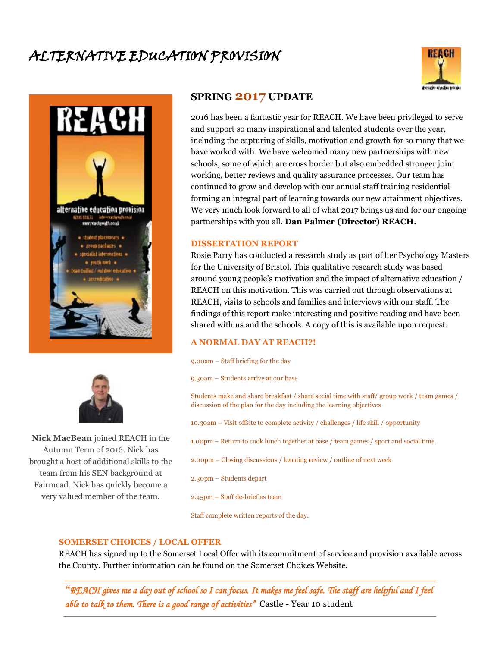# ALTERNATIVE EDUCATION PROVISION







**Nick MacBean** joined REACH in the Autumn Term of 2016. Nick has brought a host of additional skills to the team from his SEN background at Fairmead. Nick has quickly become a very valued member of the team.

## **SPRING <sup>2017</sup> UPDATE**

2016 has been a fantastic year for REACH. We have been privileged to serve and support so many inspirational and talented students over the year, including the capturing of skills, motivation and growth for so many that we have worked with. We have welcomed many new partnerships with new schools, some of which are cross border but also embedded stronger joint working, better reviews and quality assurance processes. Our team has continued to grow and develop with our annual staff training residential forming an integral part of learning towards our new attainment objectives. We very much look forward to all of what 2017 brings us and for our ongoing partnerships with you all. **Dan Palmer (Director) REACH.**

#### **DISSERTATION REPORT**

Rosie Parry has conducted a research study as part of her Psychology Masters for the University of Bristol. This qualitative research study was based around young people's motivation and the impact of alternative education / REACH on this motivation. This was carried out through observations at REACH, visits to schools and families and interviews with our staff. The findings of this report make interesting and positive reading and have been shared with us and the schools. A copy of this is available upon request.

#### **A NORMAL DAY AT REACH?!**

9.00am – Staff briefing for the day

9.30am – Students arrive at our base

Students make and share breakfast / share social time with staff/ group work / team games / discussion of the plan for the day including the learning objectives

10.30am – Visit offsite to complete activity / challenges / life skill / opportunity

1.00pm – Return to cook lunch together at base / team games / sport and social time.

2.00pm – Closing discussions / learning review / outline of next week

2.30pm – Students depart

2.45pm – Staff de-brief as team

Staff complete written reports of the day.

#### **SOMERSET CHOICES / LOCAL OFFER**

REACH has signed up to the Somerset Local Offer with its commitment of service and provision available across the County. Further information can be found on the Somerset Choices Website.

*"REACH gives me a day out of school so I can focus. It makes me feel safe. The staff are helpful and I feel able to talk to them. There is a good range of activities"* Castle - Year 10 student